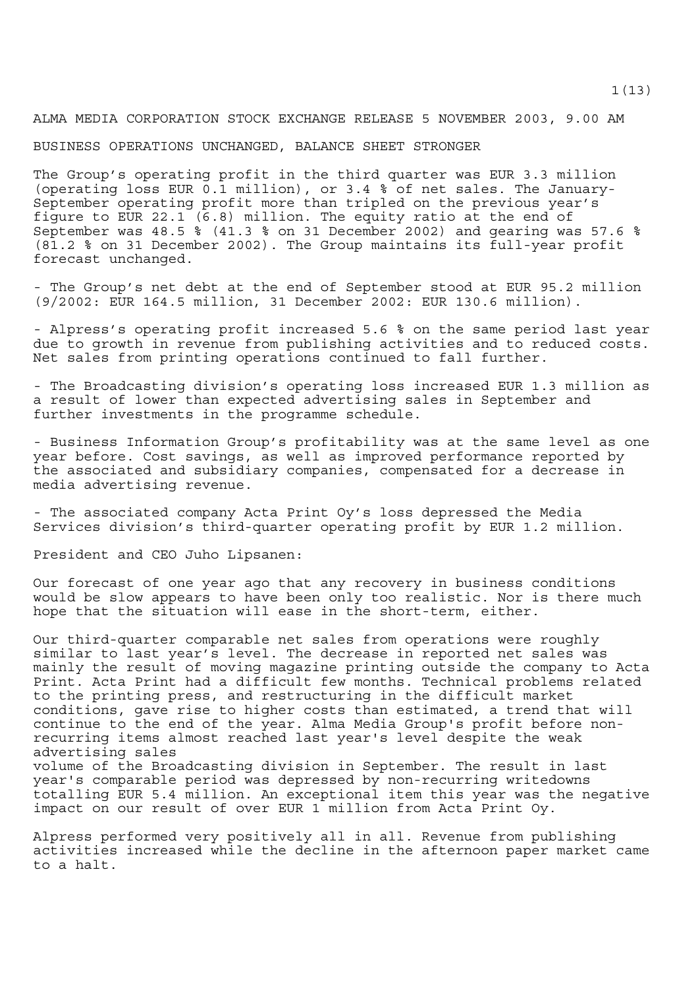ALMA MEDIA CORPORATION STOCK EXCHANGE RELEASE 5 NOVEMBER 2003, 9.00 AM

BUSINESS OPERATIONS UNCHANGED, BALANCE SHEET STRONGER

The Group's operating profit in the third quarter was EUR 3.3 million (operating loss EUR 0.1 million), or 3.4 % of net sales. The January-September operating profit more than tripled on the previous year's figure to EUR 22.1 (6.8) million. The equity ratio at the end of September was 48.5 % (41.3 % on 31 December 2002) and gearing was 57.6 % (81.2 % on 31 December 2002). The Group maintains its full-year profit forecast unchanged.

- The Group's net debt at the end of September stood at EUR 95.2 million (9/2002: EUR 164.5 million, 31 December 2002: EUR 130.6 million).

- Alpress's operating profit increased 5.6 % on the same period last year due to growth in revenue from publishing activities and to reduced costs. Net sales from printing operations continued to fall further.

- The Broadcasting division's operating loss increased EUR 1.3 million as a result of lower than expected advertising sales in September and further investments in the programme schedule.

- Business Information Group's profitability was at the same level as one year before. Cost savings, as well as improved performance reported by the associated and subsidiary companies, compensated for a decrease in media advertising revenue.

- The associated company Acta Print Oy's loss depressed the Media Services division's third-quarter operating profit by EUR 1.2 million.

President and CEO Juho Lipsanen:

Our forecast of one year ago that any recovery in business conditions would be slow appears to have been only too realistic. Nor is there much hope that the situation will ease in the short-term, either.

Our third-quarter comparable net sales from operations were roughly similar to last year's level. The decrease in reported net sales was mainly the result of moving magazine printing outside the company to Acta Print. Acta Print had a difficult few months. Technical problems related to the printing press, and restructuring in the difficult market conditions, gave rise to higher costs than estimated, a trend that will continue to the end of the year. Alma Media Group's profit before nonrecurring items almost reached last year's level despite the weak advertising sales volume of the Broadcasting division in September. The result in last year's comparable period was depressed by non-recurring writedowns totalling EUR 5.4 million. An exceptional item this year was the negative impact on our result of over EUR 1 million from Acta Print Oy.

Alpress performed very positively all in all. Revenue from publishing activities increased while the decline in the afternoon paper market came to a halt.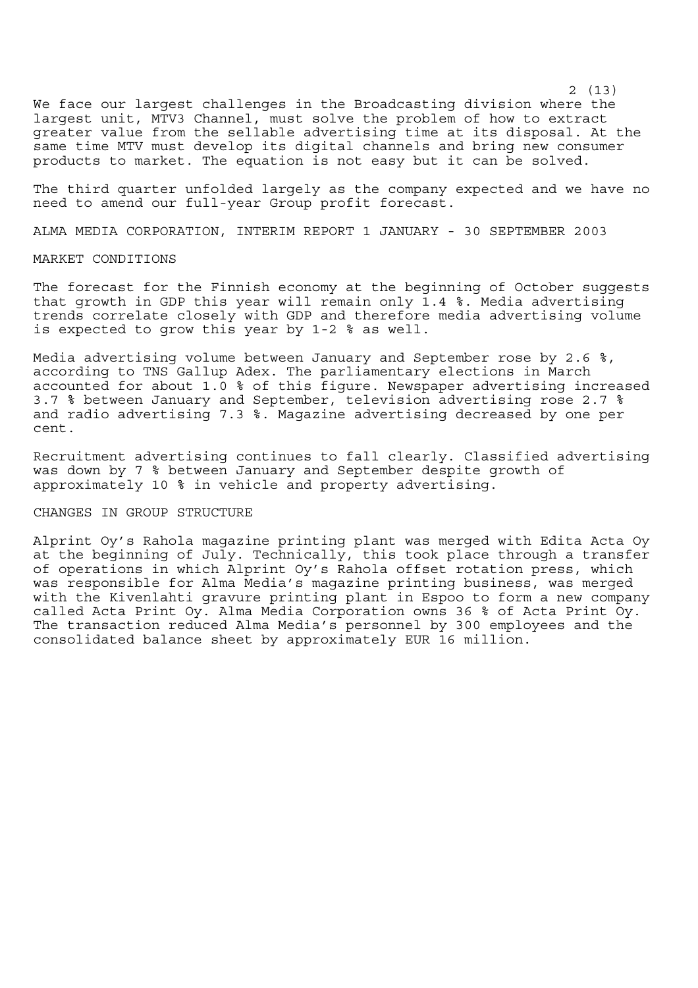We face our largest challenges in the Broadcasting division where the largest unit, MTV3 Channel, must solve the problem of how to extract greater value from the sellable advertising time at its disposal. At the same time MTV must develop its digital channels and bring new consumer products to market. The equation is not easy but it can be solved.

The third quarter unfolded largely as the company expected and we have no need to amend our full-year Group profit forecast.

ALMA MEDIA CORPORATION, INTERIM REPORT 1 JANUARY - 30 SEPTEMBER 2003

### MARKET CONDITIONS

The forecast for the Finnish economy at the beginning of October suggests that growth in GDP this year will remain only 1.4 %. Media advertising trends correlate closely with GDP and therefore media advertising volume is expected to grow this year by 1-2 % as well.

Media advertising volume between January and September rose by 2.6 %, according to TNS Gallup Adex. The parliamentary elections in March accounted for about 1.0 % of this figure. Newspaper advertising increased 3.7 % between January and September, television advertising rose 2.7 % and radio advertising 7.3 %. Magazine advertising decreased by one per cent.

Recruitment advertising continues to fall clearly. Classified advertising was down by 7 % between January and September despite growth of approximately 10 % in vehicle and property advertising.

## CHANGES IN GROUP STRUCTURE

Alprint Oy's Rahola magazine printing plant was merged with Edita Acta Oy at the beginning of July. Technically, this took place through a transfer of operations in which Alprint Oy's Rahola offset rotation press, which was responsible for Alma Media's magazine printing business, was merged with the Kivenlahti gravure printing plant in Espoo to form a new company called Acta Print Oy. Alma Media Corporation owns 36 % of Acta Print Oy. The transaction reduced Alma Media's personnel by 300 employees and the consolidated balance sheet by approximately EUR 16 million.

2 (13)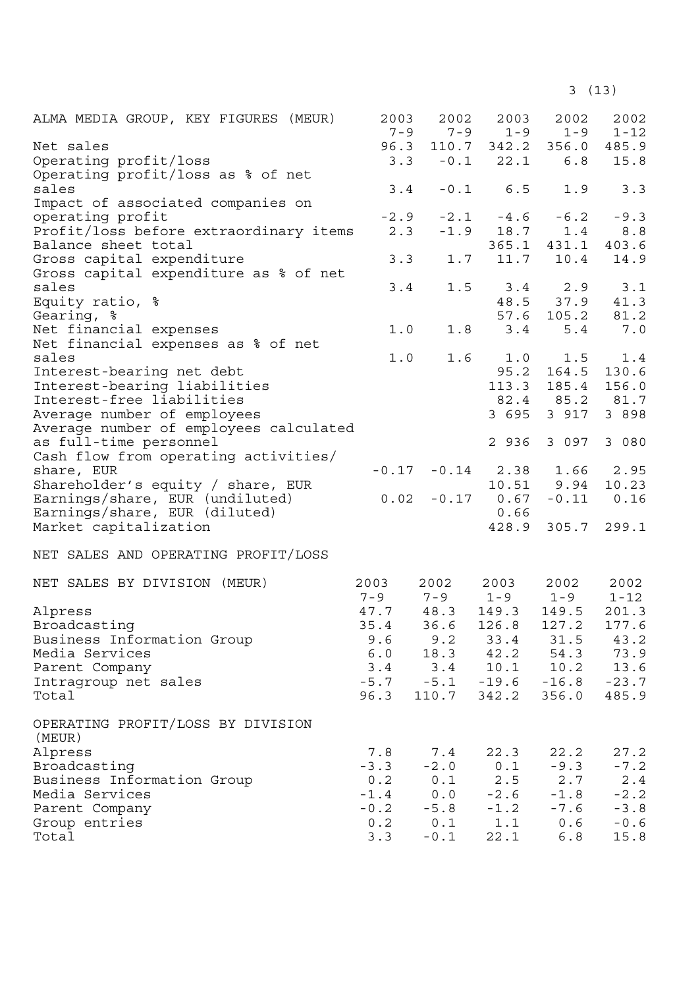3 (13)

| ALMA MEDIA GROUP, KEY FIGURES (MEUR)        | 2003<br>$7 - 9$ | 2002<br>$7 - 9$ | 2003<br>$1 - 9$           | 2002<br>$1 - 9$   | 2002<br>$1 - 12$ |
|---------------------------------------------|-----------------|-----------------|---------------------------|-------------------|------------------|
| Net sales                                   |                 |                 | 96.3 110.7 342.2 356.0    |                   | 485.9            |
| Operating profit/loss                       |                 |                 | $3.3 - 0.1$ 22.1          | 6.8               | 15.8             |
| Operating profit/loss as % of net           |                 |                 |                           |                   |                  |
| sales                                       | 3.4             |                 | $-0.1$ 6.5                | 1.9               | 3.3              |
| Impact of associated companies on           |                 |                 |                           |                   |                  |
| operating profit                            | $-2.9$          |                 | $-2.1 -4.6 -6.2$          |                   | $-9.3$           |
| Profit/loss before extraordinary items      | 2.3             |                 | $-1.9$ 18.7               | 1.4               | 8.8              |
| Balance sheet total                         |                 |                 |                           | 365.1 431.1       | 403.6            |
| Gross capital expenditure                   | 3.3             |                 | $1.7$ $11.7$              | 10.4              | 14.9             |
| Gross capital expenditure as % of net       |                 |                 |                           |                   |                  |
| sales                                       | 3.4             | 1.5             |                           | $3.4$ $2.9$       | 3.1              |
| Equity ratio, %                             |                 |                 |                           | 48.5 37.9         | 41.3             |
|                                             |                 |                 |                           | 57.6 105.2 81.2   |                  |
| Gearing, %                                  |                 |                 |                           |                   |                  |
| Net financial expenses                      | 1.0             |                 | $1.8$ $3.4$               | 5.4               | 7.0              |
| Net financial expenses as % of net          |                 |                 |                           |                   |                  |
| sales                                       | 1.0             |                 | 1.6 1.0                   | 1.5               | 1.4              |
| Interest-bearing net debt                   |                 |                 |                           | 95.2 164.5        | 130.6            |
| Interest-bearing liabilities                |                 |                 |                           | 113.3 185.4       | 156.0            |
| Interest-free liabilities                   |                 |                 |                           | 82.4 85.2 81.7    |                  |
| Average number of employees                 |                 |                 |                           | 3 695 3 917       | 3 8 9 8          |
| Average number of employees calculated      |                 |                 |                           |                   |                  |
| as full-time personnel                      |                 |                 |                           | 2 936 3 097       | 3 080            |
| Cash flow from operating activities/        |                 |                 |                           |                   |                  |
| share, EUR                                  |                 |                 | $-0.17$ $-0.14$ 2.38 1.66 |                   | 2.95             |
| Shareholder's equity / share, EUR           |                 |                 |                           | 10.51 9.94        | 10.23            |
| Earnings/share, EUR (undiluted)             | 0.02            |                 | $-0.17$ 0.67              |                   | $-0.11$ $0.16$   |
| Earnings/share, EUR (diluted)               |                 |                 | 0.66                      |                   |                  |
| Market capitalization                       |                 |                 |                           | 428.9 305.7 299.1 |                  |
|                                             |                 |                 |                           |                   |                  |
| NET SALES AND OPERATING PROFIT/LOSS         |                 |                 |                           |                   |                  |
| NET SALES BY DIVISION (MEUR)                | 2003            | 2002            | 2003                      | 2002              | 2002             |
|                                             |                 |                 |                           | $1 - 9$           | $1 - 12$         |
|                                             |                 |                 | $7 - 9$ $7 - 9$ $1 - 9$   |                   |                  |
| Alpress                                     |                 | 47.7 48.3       | 149.3                     | 149.5             | 201.3            |
| Broadcasting                                | 35.4            | 36.6            | 126.8                     | 127.2             | 177.6            |
| Business Information Group                  | 9.6             | 9.2             | 33.4                      | 31.5              | 43.2             |
| Media Services                              | 6.0             | 18.3            | 42.2                      | 54.3              | 73.9             |
| Parent Company                              | 3.4             | 3.4             | 10.1                      | 10.2              | 13.6             |
| Intragroup net sales                        | $-5.7$          | $-5.1$          | $-19.6$                   | $-16.8$           | $-23.7$          |
| Total                                       | 96.3            | 110.7           | 342.2                     | 356.0             | 485.9            |
| OPERATING PROFIT/LOSS BY DIVISION<br>(MEUR) |                 |                 |                           |                   |                  |
|                                             |                 |                 |                           |                   |                  |
| Alpress                                     | 7.8             | 7.4             | 22.3                      | 22.2              | 27.2             |
| Broadcasting                                | $-3.3$          | $-2.0$          | 0.1                       | $-9.3$            | $-7.2$           |
| Business Information Group                  | 0.2             | 0.1             | 2.5                       | 2.7               | 2.4              |
| Media Services                              | $-1.4$          | 0.0             | $-2.6$                    | $-1.8$            | $-2.2$           |
| Parent Company                              | $-0.2$          | $-5.8$          | $-1.2$                    | $-7.6$            | $-3.8$           |
| Group entries                               | 0.2             | 0.1             | 1.1                       | 0.6               | $-0.6$           |
| Total                                       | 3.3             | $-0.1$          | 22.1                      | 6.8               | 15.8             |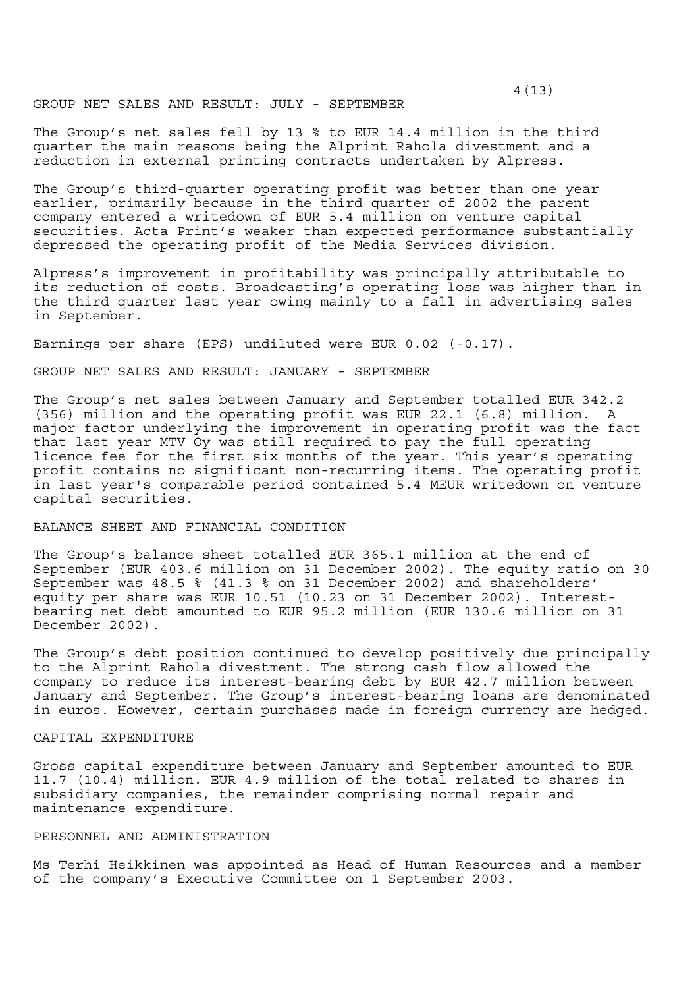The Group's net sales fell by 13 % to EUR 14.4 million in the third quarter the main reasons being the Alprint Rahola divestment and a reduction in external printing contracts undertaken by Alpress.

The Group's third-quarter operating profit was better than one year earlier, primarily because in the third quarter of 2002 the parent company entered a writedown of EUR 5.4 million on venture capital securities. Acta Print's weaker than expected performance substantially depressed the operating profit of the Media Services division.

Alpress's improvement in profitability was principally attributable to its reduction of costs. Broadcasting's operating loss was higher than in the third quarter last year owing mainly to a fall in advertising sales in September.

Earnings per share (EPS) undiluted were EUR 0.02 (-0.17).

GROUP NET SALES AND RESULT: JANUARY - SEPTEMBER

The Group's net sales between January and September totalled EUR 342.2 (356) million and the operating profit was EUR 22.1 (6.8) million. A major factor underlying the improvement in operating profit was the fact that last year MTV Oy was still required to pay the full operating licence fee for the first six months of the year. This year's operating profit contains no significant non-recurring items. The operating profit in last year's comparable period contained 5.4 MEUR writedown on venture capital securities.

BALANCE SHEET AND FINANCIAL CONDITION

The Group's balance sheet totalled EUR 365.1 million at the end of September (EUR 403.6 million on 31 December 2002). The equity ratio on 30 September was 48.5 % (41.3 % on 31 December 2002) and shareholders' equity per share was EUR 10.51 (10.23 on 31 December 2002). Interestbearing net debt amounted to EUR 95.2 million (EUR 130.6 million on 31 December 2002).

The Group's debt position continued to develop positively due principally to the Alprint Rahola divestment. The strong cash flow allowed the company to reduce its interest-bearing debt by EUR 42.7 million between January and September. The Group's interest-bearing loans are denominated in euros. However, certain purchases made in foreign currency are hedged.

## CAPITAL EXPENDITURE

Gross capital expenditure between January and September amounted to EUR 11.7 (10.4) million. EUR 4.9 million of the total related to shares in subsidiary companies, the remainder comprising normal repair and maintenance expenditure.

### PERSONNEL AND ADMINISTRATION

Ms Terhi Heikkinen was appointed as Head of Human Resources and a member of the company's Executive Committee on 1 September 2003.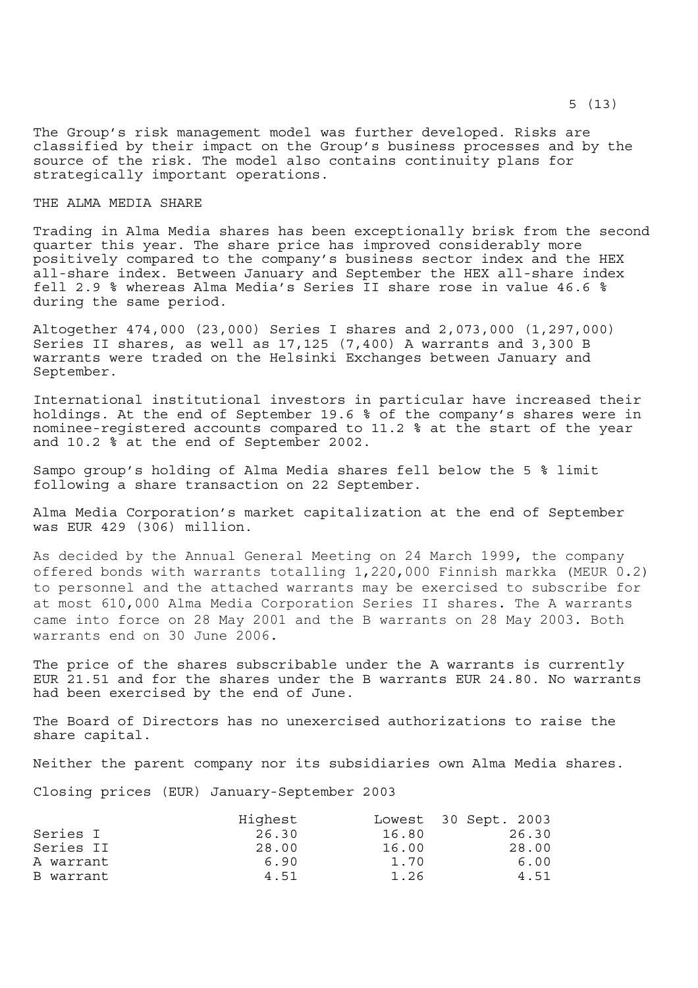The Group's risk management model was further developed. Risks are classified by their impact on the Group's business processes and by the source of the risk. The model also contains continuity plans for strategically important operations.

# THE ALMA MEDIA SHARE

Trading in Alma Media shares has been exceptionally brisk from the second quarter this year. The share price has improved considerably more positively compared to the company's business sector index and the HEX all-share index. Between January and September the HEX all-share index fell 2.9 % whereas Alma Media's Series II share rose in value 46.6 % during the same period.

Altogether 474,000 (23,000) Series I shares and 2,073,000 (1,297,000) Series II shares, as well as 17,125 (7,400) A warrants and 3,300 B warrants were traded on the Helsinki Exchanges between January and September.

International institutional investors in particular have increased their holdings. At the end of September 19.6 % of the company's shares were in nominee-registered accounts compared to 11.2 % at the start of the year and 10.2 % at the end of September 2002.

Sampo group's holding of Alma Media shares fell below the 5 % limit following a share transaction on 22 September.

Alma Media Corporation's market capitalization at the end of September was EUR 429 (306) million.

As decided by the Annual General Meeting on 24 March 1999, the company offered bonds with warrants totalling 1,220,000 Finnish markka (MEUR 0.2) to personnel and the attached warrants may be exercised to subscribe for at most 610,000 Alma Media Corporation Series II shares. The A warrants came into force on 28 May 2001 and the B warrants on 28 May 2003. Both warrants end on 30 June 2006.

The price of the shares subscribable under the A warrants is currently EUR 21.51 and for the shares under the B warrants EUR 24.80. No warrants had been exercised by the end of June.

The Board of Directors has no unexercised authorizations to raise the share capital.

Neither the parent company nor its subsidiaries own Alma Media shares.

Closing prices (EUR) January-September 2003

|           | Highest |       | Lowest 30 Sept. 2003 |
|-----------|---------|-------|----------------------|
| Series I  | 26.30   | 16.80 | 26.30                |
| Series II | 28.00   | 16.00 | 28.00                |
| A warrant | 6.90    | 1.70  | 6.00                 |
| B warrant | 4.51    | 1.26  | 4.51                 |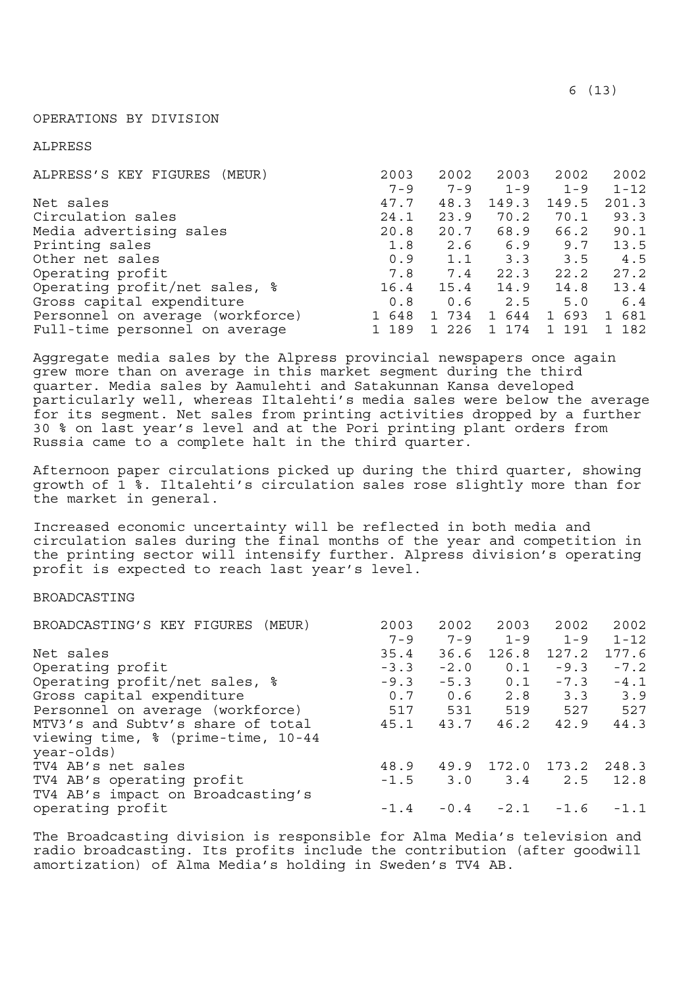### OPERATIONS BY DIVISION

ALPRESS

| ALPRESS'S KEY FIGURES (MEUR)     | 2003    | 2002    | 2003     | 2002                | 2002                |
|----------------------------------|---------|---------|----------|---------------------|---------------------|
|                                  | $7 - 9$ | $7 - 9$ | $1 - 9$  | $1 - 9$             | $1 - 12$            |
| Net sales                        | 47.7    | 48.3    | 149.3    | 149.5               | 201.3               |
| Circulation sales                | 24.1    | 23.9    | 70.2     | 70.1                | 93.3                |
| Media advertising sales          | 20.8    | 20.7    | 68.9     | 66.2                | 90.1                |
| Printing sales                   | 1.8     | 2.6     | 6.9      | 9.7                 | 13.5                |
| Other net sales                  | 0.9     | 1.1     | 3.3      | 3.5                 | 4.5                 |
| Operating profit                 | 7.8     | 7.4     | 22.3     | 22.2                | 27.2                |
| Operating profit/net sales, %    | 16.4    | 15.4    | 14.9     | 14.8                | 13.4                |
| Gross capital expenditure        | 0.8     | 0.6     | 2.5      | 5.0                 | 6.4                 |
| Personnel on average (workforce) | 1 648   | 1 734   | 644<br>1 | 693<br>$\mathbf{1}$ | 681<br>$\mathbf{1}$ |
| Full-time personnel on average   | 1 189   | 1 226   | 1 174    | 191<br>$\mathbf{1}$ | 182                 |

Aggregate media sales by the Alpress provincial newspapers once again grew more than on average in this market segment during the third quarter. Media sales by Aamulehti and Satakunnan Kansa developed particularly well, whereas Iltalehti's media sales were below the average for its segment. Net sales from printing activities dropped by a further 30 % on last year's level and at the Pori printing plant orders from Russia came to a complete halt in the third quarter.

Afternoon paper circulations picked up during the third quarter, showing growth of 1 %. Iltalehti's circulation sales rose slightly more than for the market in general.

Increased economic uncertainty will be reflected in both media and circulation sales during the final months of the year and competition in the printing sector will intensify further. Alpress division's operating profit is expected to reach last year's level.

## BROADCASTING

| BROADCASTING'S KEY FIGURES (MEUR)  | 2003    | 2002    | 2003    | 2002      | 2002     |
|------------------------------------|---------|---------|---------|-----------|----------|
|                                    | $7 - 9$ | $7 - 9$ | $1 - 9$ | $1 - 9$   | $1 - 12$ |
| Net sales                          | 35.4    | 36.6    | 126.8   | 127.2     | 177.6    |
| Operating profit                   | $-3.3$  | $-2.0$  | 0.1     | $-9.3$    | $-7.2$   |
| Operating profit/net sales, %      | $-9.3$  | $-5.3$  | 0.1     | $-7.3$    | $-4.1$   |
| Gross capital expenditure          | 0.7     | 0.6     |         | $2.8$ 3.3 | 3.9      |
| Personnel on average (workforce)   | 517     | 531     | 519     | 527       | 527      |
| MTV3's and Subtv's share of total  | 45.1    | 43.7    | 46.2    | 42.9      | 44.3     |
| viewing time, % (prime-time, 10-44 |         |         |         |           |          |
| year-olds)                         |         |         |         |           |          |
| TV4 AB's net sales                 | 48.9    | 49.9    | 172.0   | 173.2     | 248.3    |
| TV4 AB's operating profit          | $-1.5$  | 3.0     | 3.4     | 2.5       | 12.8     |
| TV4 AB's impact on Broadcasting's  |         |         |         |           |          |
| operating profit                   | $-1.4$  | $-0.4$  | $-2.1$  | $-1.6$    | $-1.1$   |

The Broadcasting division is responsible for Alma Media's television and radio broadcasting. Its profits include the contribution (after goodwill amortization) of Alma Media's holding in Sweden's TV4 AB.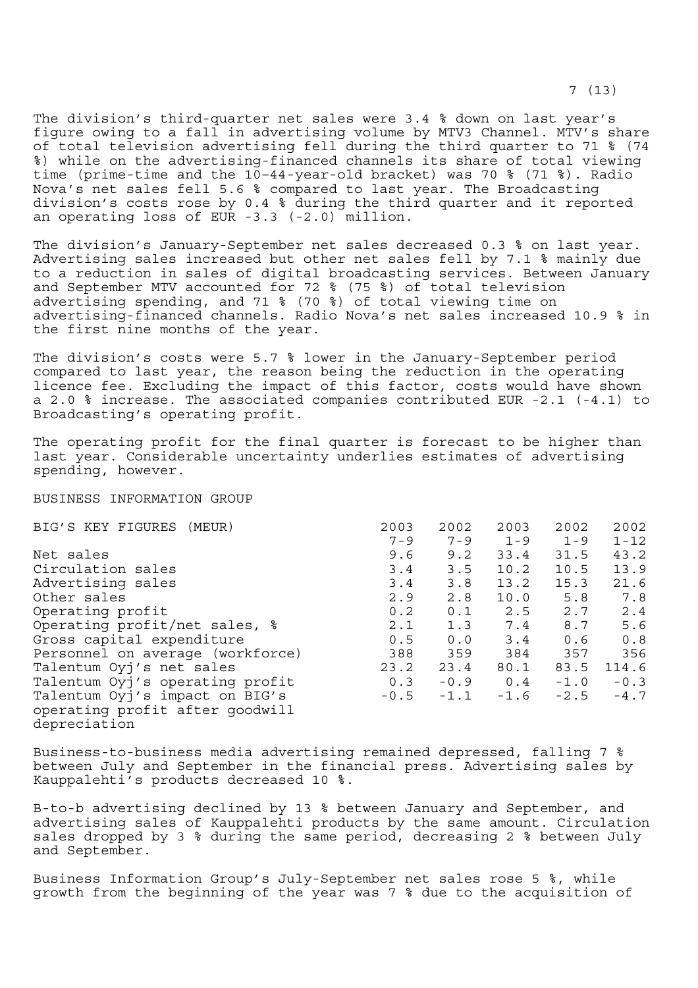The division's third-quarter net sales were 3.4 % down on last year's figure owing to a fall in advertising volume by MTV3 Channel. MTV's share of total television advertising fell during the third quarter to 71 % (74 %) while on the advertising-financed channels its share of total viewing time (prime-time and the 10–44-year-old bracket) was 70 % (71 %). Radio Nova's net sales fell 5.6 % compared to last year. The Broadcasting division's costs rose by 0.4 % during the third quarter and it reported an operating loss of EUR -3.3 (-2.0) million.

The division's January-September net sales decreased 0.3 % on last year. Advertising sales increased but other net sales fell by 7.1 % mainly due to a reduction in sales of digital broadcasting services. Between January and September MTV accounted for 72 % (75 %) of total television advertising spending, and 71 % (70 %) of total viewing time on advertising-financed channels. Radio Nova's net sales increased 10.9 % in the first nine months of the year.

The division's costs were 5.7 % lower in the January-September period compared to last year, the reason being the reduction in the operating licence fee. Excluding the impact of this factor, costs would have shown a 2.0 % increase. The associated companies contributed EUR -2.1 (-4.1) to Broadcasting's operating profit.

The operating profit for the final quarter is forecast to be higher than last year. Considerable uncertainty underlies estimates of advertising spending, however.

BUSINESS INFORMATION GROUP

| BIG'S KEY FIGURES (MEUR)         | 2003    | 2002    | 2003    | 2002    | 2002     |
|----------------------------------|---------|---------|---------|---------|----------|
|                                  | $7 - 9$ | $7 - 9$ | $1 - 9$ | $1 - 9$ | $1 - 12$ |
| Net sales                        | 9.6     | 9.2     | 33.4    | 31.5    | 43.2     |
| Circulation sales                | 3.4     | 3.5     | 10.2    | 10.5    | 13.9     |
| Advertising sales                | 3.4     | 3.8     | 13.2    | 15.3    | 21.6     |
| Other sales                      | 2.9     | 2.8     | 10.0    | 5.8     | 7.8      |
| Operating profit                 | 0.2     | 0.1     | 2.5     | 2.7     | 2.4      |
| Operating profit/net sales, %    | 2.1     | 1.3     | 7.4     | 8.7     | 5.6      |
| Gross capital expenditure        | 0.5     | 0.0     | 3.4     | 0.6     | 0.8      |
| Personnel on average (workforce) | 388     | 359     | 384     | 357     | 356      |
| Talentum Oyj's net sales         | 23.2    | 23.4    | 80.1    | 83.5    | 114.6    |
| Talentum Oyj's operating profit  | 0.3     | $-0.9$  | 0.4     | $-1.0$  | $-0.3$   |
| Talentum Oyj's impact on BIG's   | $-0.5$  | $-1.1$  | $-1.6$  | $-2.5$  | $-4.7$   |
| operating profit after goodwill  |         |         |         |         |          |
| depreciation                     |         |         |         |         |          |

Business-to-business media advertising remained depressed, falling 7 % between July and September in the financial press. Advertising sales by Kauppalehti's products decreased 10 %.

B-to-b advertising declined by 13 % between January and September, and advertising sales of Kauppalehti products by the same amount. Circulation sales dropped by 3 % during the same period, decreasing 2 % between July and September.

Business Information Group's July-September net sales rose 5 %, while growth from the beginning of the year was 7 % due to the acquisition of

7 (13)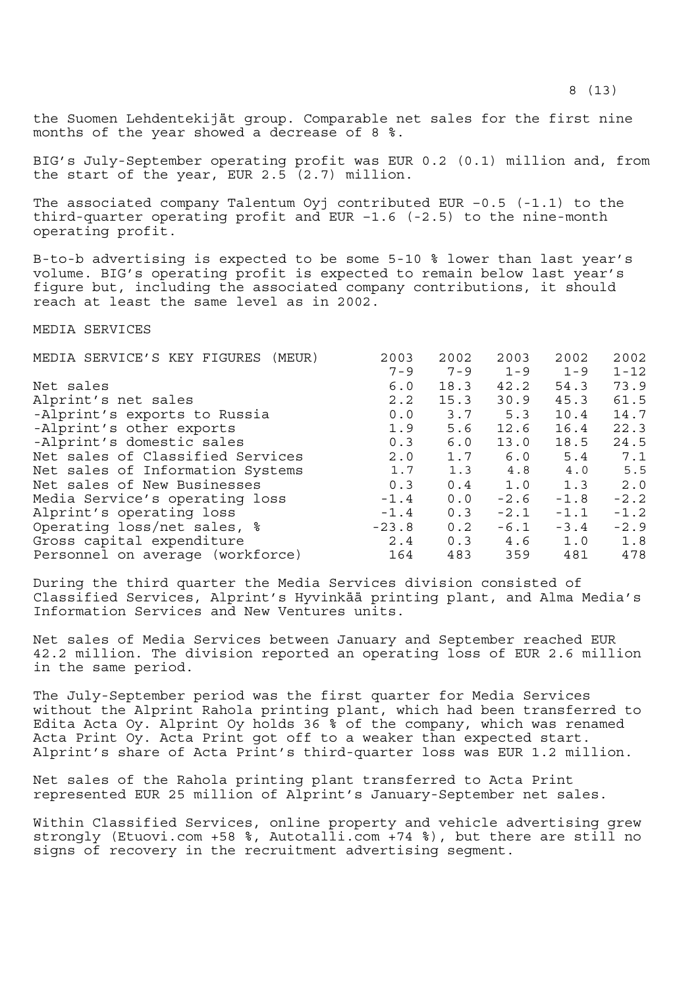the Suomen Lehdentekijät group. Comparable net sales for the first nine months of the year showed a decrease of 8 %.

BIG's July-September operating profit was EUR 0.2 (0.1) million and, from the start of the year, EUR 2.5 (2.7) million.

The associated company Talentum Oyj contributed EUR –0.5 (-1.1) to the third-quarter operating profit and EUR –1.6 (-2.5) to the nine-month operating profit.

B-to-b advertising is expected to be some 5-10 % lower than last year's volume. BIG's operating profit is expected to remain below last year's figure but, including the associated company contributions, it should reach at least the same level as in 2002.

MEDIA SERVICES

| MEDIA SERVICE'S KEY FIGURES (MEUR) | 2003    | 2002    | 2003    | 2002    | 2002     |
|------------------------------------|---------|---------|---------|---------|----------|
|                                    | $7 - 9$ | $7 - 9$ | $1 - 9$ | $1 - 9$ | $1 - 12$ |
| Net sales                          | 6.0     | 18.3    | 42.2    | 54.3    | 73.9     |
| Alprint's net sales                | 2.2     | 15.3    | 30.9    | 45.3    | 61.5     |
| -Alprint's exports to Russia       | 0.0     | 3.7     | 5.3     | 10.4    | 14.7     |
| -Alprint's other exports           | 1.9     | 5.6     | 12.6    | 16.4    | 22.3     |
| -Alprint's domestic sales          | 0.3     | 6.0     | 13.0    | 18.5    | 24.5     |
| Net sales of Classified Services   | 2.0     | 1.7     | 6.0     | 5.4     | 7.1      |
| Net sales of Information Systems   | 1.7     | 1.3     | 4.8     | 4.0     | 5.5      |
| Net sales of New Businesses        | 0.3     | 0.4     | 1.0     | 1.3     | 2.0      |
| Media Service's operating loss     | $-1.4$  | 0.0     | $-2.6$  | $-1.8$  | $-2.2$   |
| Alprint's operating loss           | $-1.4$  | 0.3     | $-2.1$  | $-1.1$  | $-1.2$   |
| Operating loss/net sales, %        | $-23.8$ | 0.2     | $-6.1$  | $-3.4$  | $-2.9$   |
| Gross capital expenditure          | 2.4     | 0.3     | 4.6     | 1.0     | 1.8      |
| Personnel on average (workforce)   | 164     | 483     | 359     | 481     | 478      |

During the third quarter the Media Services division consisted of Classified Services, Alprint's Hyvinkää printing plant, and Alma Media's Information Services and New Ventures units.

Net sales of Media Services between January and September reached EUR 42.2 million. The division reported an operating loss of EUR 2.6 million in the same period.

The July-September period was the first quarter for Media Services without the Alprint Rahola printing plant, which had been transferred to Edita Acta Oy. Alprint Oy holds 36 % of the company, which was renamed Acta Print Oy. Acta Print got off to a weaker than expected start. Alprint's share of Acta Print's third-quarter loss was EUR 1.2 million.

Net sales of the Rahola printing plant transferred to Acta Print represented EUR 25 million of Alprint's January-September net sales.

Within Classified Services, online property and vehicle advertising grew strongly (Etuovi.com +58 %, Autotalli.com +74 %), but there are still no signs of recovery in the recruitment advertising segment.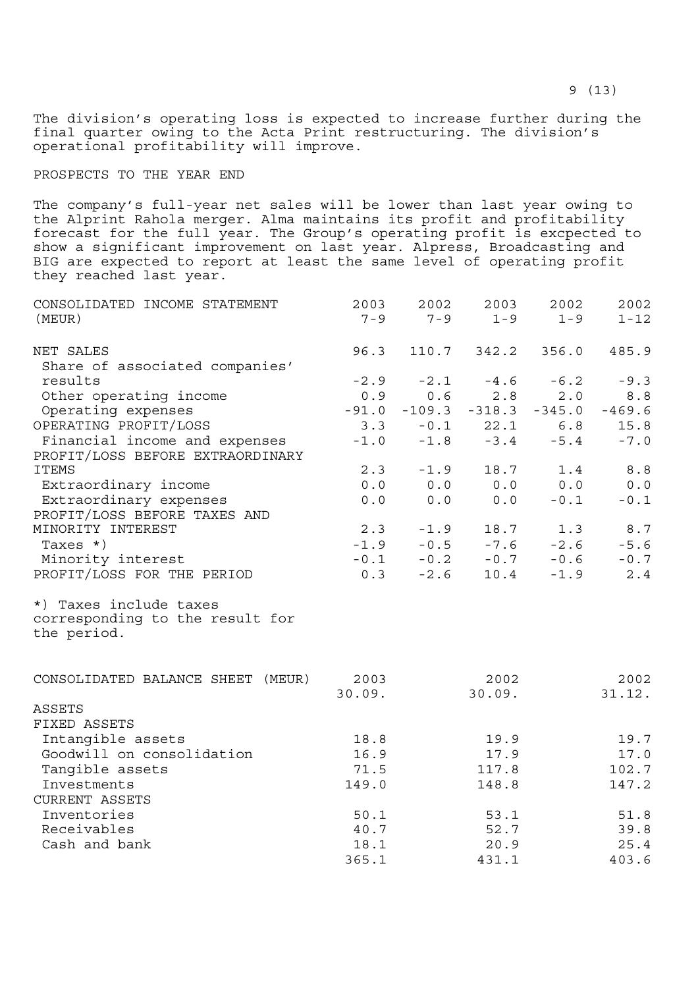The division's operating loss is expected to increase further during the final quarter owing to the Acta Print restructuring. The division's operational profitability will improve.

## PROSPECTS TO THE YEAR END

The company's full-year net sales will be lower than last year owing to the Alprint Rahola merger. Alma maintains its profit and profitability forecast for the full year. The Group's operating profit is excpected to show a significant improvement on last year. Alpress, Broadcasting and BIG are expected to report at least the same level of operating profit they reached last year.

| CONSOLIDATED INCOME STATEMENT<br>(MEUR)                   | 2003<br>$7 - 9$ | 2002<br>$7 - 9$ | 2003<br>$1 - 9$                    | 2002<br>$1 - 9$ | 2002<br>$1 - 12$ |
|-----------------------------------------------------------|-----------------|-----------------|------------------------------------|-----------------|------------------|
|                                                           |                 |                 |                                    |                 |                  |
| NET SALES                                                 | 96.3            |                 | 110.7 342.2                        | 356.0           | 485.9            |
| Share of associated companies'                            |                 |                 |                                    |                 |                  |
| results                                                   | $-2.9$          | $-2.1$          |                                    | $-4.6 - 6.2$    | $-9.3$           |
| Other operating income                                    | 0.9             | 0.6             | 2.8                                | 2.0             | 8.8              |
| Operating expenses                                        | $-91.0$         |                 | $-109.3 -318.3 -345.0$             |                 | $-469.6$         |
| OPERATING PROFIT/LOSS                                     | 3.3             |                 | $-0.1$ 22.1                        | 6.8             | 15.8             |
| Financial income and expenses                             | $-1.0$          |                 | $-1.8 - 3.4$                       | $-5.4$          | $-7.0$           |
| PROFIT/LOSS BEFORE EXTRAORDINARY                          |                 |                 |                                    |                 |                  |
| <b>ITEMS</b>                                              | 2.3             | $-1.9$          | 18.7                               | 1.4             | 8.8              |
| Extraordinary income                                      |                 |                 | 0.0 0.0 0.0                        | 0.0             | 0.0              |
| Extraordinary expenses                                    | 0.0             | 0.0             | 0.0                                | $-0.1$          | $-0.1$           |
| PROFIT/LOSS BEFORE TAXES AND                              |                 |                 |                                    |                 |                  |
| MINORITY INTEREST                                         |                 | $2.3 - 1.9$     | 18.7                               | 1.3             | 8.7              |
| Taxes $\star$ )                                           |                 |                 | $-1.9$ $-0.5$ $-7.6$ $-2.6$        |                 | $-5.6$           |
| Minority interest                                         |                 |                 | $-0.1$ $-0.2$ $-0.7$ $-0.6$ $-0.7$ |                 |                  |
| PROFIT/LOSS FOR THE PERIOD                                |                 | $0.3 -2.6$      | 10.4                               | $-1.9$          | 2.4              |
| *) Taxes include taxes<br>corresponding to the result for |                 |                 |                                    |                 |                  |
| the period.                                               |                 |                 |                                    |                 |                  |
| CONSOLIDATED BALANCE SHEET (MEUR)                         | 2003            |                 | 2002                               |                 | 2002             |
|                                                           | 30.09.          |                 | 30.09.                             |                 | 31.12.           |
| <b>ASSETS</b>                                             |                 |                 |                                    |                 |                  |
| FIXED ASSETS                                              |                 |                 |                                    |                 |                  |
| Intangible assets                                         | 18.8            |                 | 19.9                               |                 | 19.7             |
| Goodwill on consolidation                                 | 16.9            |                 | 17.9                               |                 | 17.0             |
| Tangible assets                                           | 71.5            |                 | 117.8                              |                 | 102.7            |
| Investments                                               | 149.0           |                 | 148.8                              |                 | 147.2            |
| CURRENT ASSETS                                            |                 |                 |                                    |                 |                  |
| Inventories                                               | 50.1            |                 | 53.1                               |                 | 51.8             |
| Receivables                                               | 40.7            |                 | 52.7                               |                 | 39.8             |
| Cash and bank                                             | 18.1            |                 | 20.9                               |                 | 25.4             |

365.1 431.1 403.6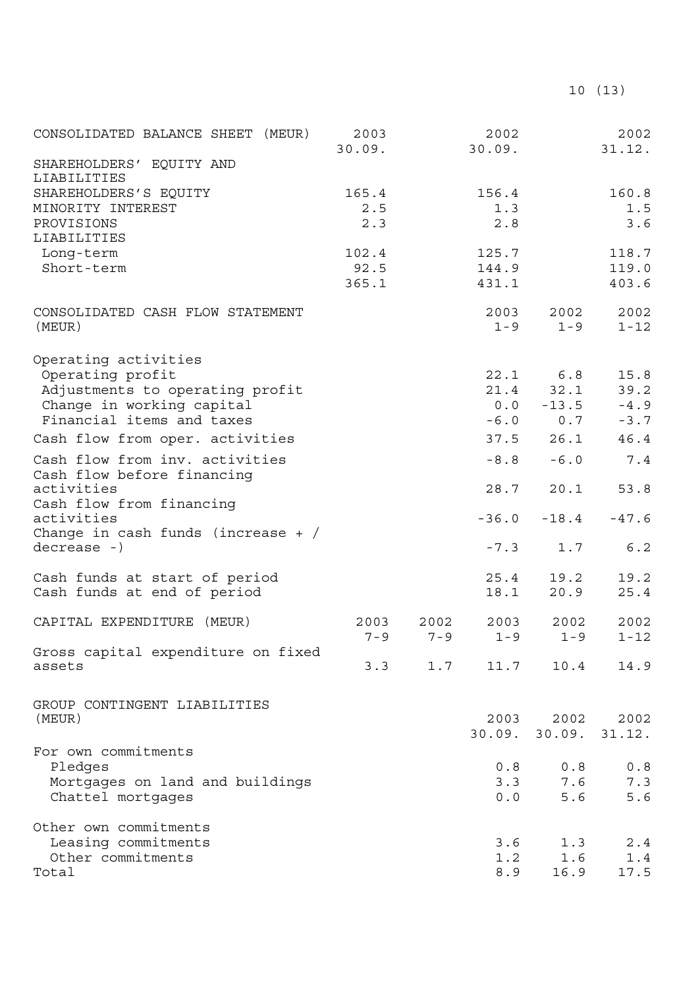| CONSOLIDATED BALANCE SHEET<br>(MEUR)                                 | 2003<br>30.09. |         | 2002<br>30.09.  |                   | 2002<br>31.12.   |
|----------------------------------------------------------------------|----------------|---------|-----------------|-------------------|------------------|
| SHAREHOLDERS' EQUITY AND<br>LIABILITIES                              |                |         |                 |                   |                  |
| SHAREHOLDERS'S EQUITY                                                | 165.4          |         | 156.4           |                   | 160.8            |
| MINORITY INTEREST                                                    | 2.5            |         | 1.3             |                   | 1.5              |
| PROVISIONS                                                           | 2.3            |         | 2.8             |                   | 3.6              |
| LIABILITIES                                                          |                |         |                 |                   |                  |
| Long-term                                                            | 102.4          |         | 125.7           |                   | 118.7            |
| Short-term                                                           | 92.5           |         | 144.9           |                   | 119.0            |
|                                                                      | 365.1          |         | 431.1           |                   | 403.6            |
| CONSOLIDATED CASH FLOW STATEMENT<br>(MEUR)                           |                |         | 2003<br>$1 - 9$ | 2002<br>$1 - 9$   | 2002<br>$1 - 12$ |
| Operating activities                                                 |                |         |                 |                   |                  |
| Operating profit                                                     |                |         | 22.1            | 6.8               | 15.8             |
| Adjustments to operating profit                                      |                |         |                 | $21.4$ $32.1$     | 39.2             |
| Change in working capital                                            |                |         | 0.0             | $-13.5$           | $-4.9$           |
| Financial items and taxes                                            |                |         | $-6.0$          | 0.7               | $-3.7$           |
| Cash flow from oper. activities                                      |                |         | 37.5            | 26.1              | 46.4             |
| Cash flow from inv. activities                                       |                |         | $-8.8$          | $-6.0$            | 7.4              |
| Cash flow before financing<br>activities<br>Cash flow from financing |                |         | 28.7            | 20.1              | 53.8             |
| activities<br>Change in cash funds (increase $+$ /                   |                |         | $-36.0$         | $-18.4$           | $-47.6$          |
| $decrease -)$                                                        |                |         | $-7.3$          | 1.7               | 6.2              |
| Cash funds at start of period                                        |                |         | 25.4            | 19.2              | 19.2             |
| Cash funds at end of period                                          |                |         | 18.1            | 20.9              | 25.4             |
| CAPITAL EXPENDITURE (MEUR)                                           | 2003           | 2002    | 2003            | 2002              | 2002             |
|                                                                      | $7 - 9$        | $7 - 9$ | $1 - 9$         | $1 - 9$           | $1 - 12$         |
| Gross capital expenditure on fixed<br>assets                         | 3.3            | 1.7     | 11.7            | 10.4              | 14.9             |
|                                                                      |                |         |                 |                   |                  |
| GROUP CONTINGENT LIABILITIES                                         |                |         |                 |                   |                  |
| (MEUR)                                                               |                |         | 2003            | 2002              | 2002             |
|                                                                      |                |         |                 | $30.09.$ $30.09.$ | 31.12.           |
| For own commitments                                                  |                |         |                 |                   |                  |
| Pledges                                                              |                |         | 0.8             | 0.8               | $0.8$            |
| Mortgages on land and buildings                                      |                |         | 3.3             | 7.6               | 7.3              |
| Chattel mortgages                                                    |                |         | 0.0             | 5.6               | 5.6              |
| Other own commitments                                                |                |         |                 |                   |                  |
| Leasing commitments                                                  |                |         | 3.6             | 1.3               | $2.4$            |
| Other commitments                                                    |                |         | 1.2             | 1.6               | 1.4              |
| Total                                                                |                |         | 8.9             | 16.9              | 17.5             |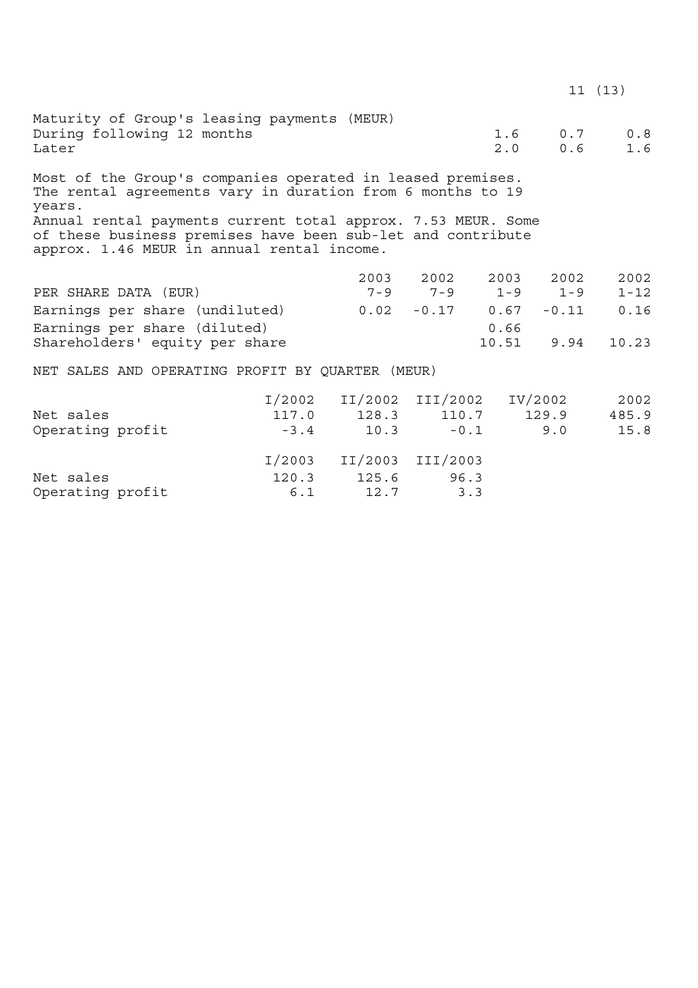|                                                                                                                                                                                                    |        |                                 |                               |      |                            | 11(13)     |
|----------------------------------------------------------------------------------------------------------------------------------------------------------------------------------------------------|--------|---------------------------------|-------------------------------|------|----------------------------|------------|
| Maturity of Group's leasing payments (MEUR)<br>During following 12 months<br>Later                                                                                                                 |        |                                 |                               |      | 1.6 0.7<br>$2.0\qquad 0.6$ | 0.8<br>1.6 |
| Most of the Group's companies operated in leased premises.<br>The rental agreements vary in duration from 6 months to 19<br>years.<br>Annual rental payments current total approx. 7.53 MEUR. Some |        |                                 |                               |      |                            |            |
| of these business premises have been sub-let and contribute<br>approx. 1.46 MEUR in annual rental income.                                                                                          |        |                                 |                               |      |                            |            |
|                                                                                                                                                                                                    |        |                                 | 2003 2002 2003                |      | 2002                       | 2002       |
| PER SHARE DATA (EUR)                                                                                                                                                                               |        |                                 | $7-9$ $7-9$ $1-9$ $1-9$       |      |                            | $1 - 12$   |
| Earnings per share (undiluted)                                                                                                                                                                     |        |                                 | $0.02$ $-0.17$ $0.67$ $-0.11$ |      |                            | 0.16       |
| Earnings per share (diluted)                                                                                                                                                                       |        |                                 |                               | 0.66 |                            |            |
| Shareholders' equity per share                                                                                                                                                                     |        |                                 |                               |      | 10.51 9.94                 | 10.23      |
| NET SALES AND OPERATING PROFIT BY QUARTER (MEUR)                                                                                                                                                   |        |                                 |                               |      |                            |            |
|                                                                                                                                                                                                    |        | I/2002 II/2002 III/2002 IV/2002 |                               |      |                            | 2002       |
| Net sales                                                                                                                                                                                          |        | 117.0 128.3 110.7 129.9 485.9   |                               |      |                            |            |
| Operating profit                                                                                                                                                                                   | $-3.4$ |                                 | $10.3 -0.1$ 9.0               |      |                            | 15.8       |
|                                                                                                                                                                                                    |        | I/2003 II/2003 III/2003         |                               |      |                            |            |
| Net sales                                                                                                                                                                                          | 120.3  |                                 | 125.6 96.3                    |      |                            |            |

Operating profit  $6.1$  12.7 3.3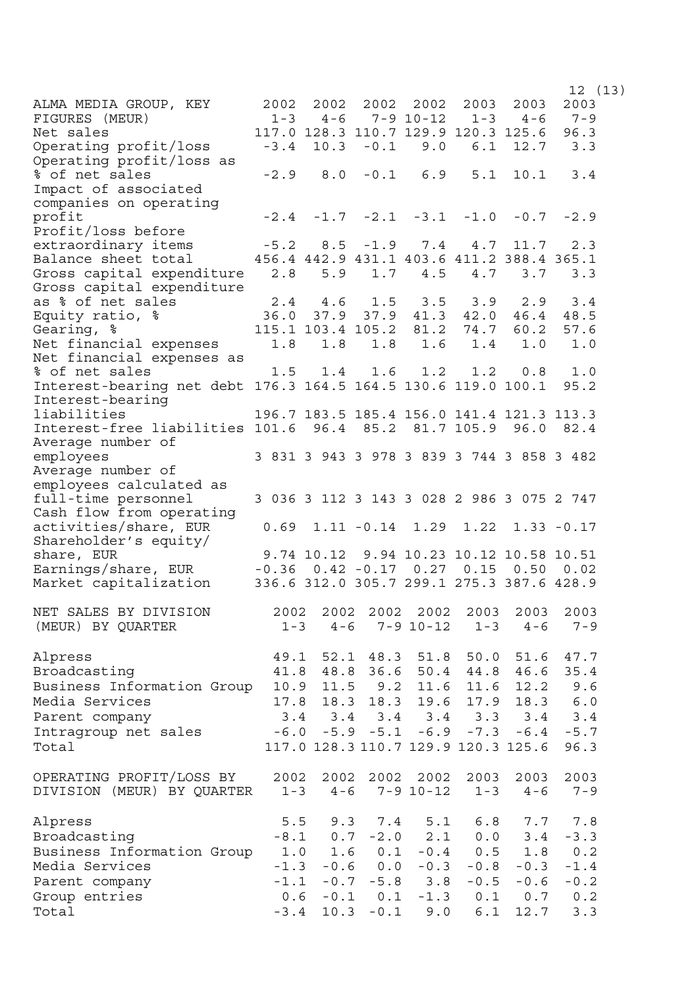$12 \t(13)$ ALMA MEDIA GROUP, KEY FIGURES (MEUR) 2002 2002 2002 2002 1-3 4-6 7-9 10-12 2003 1-3 2003  $4-6$ 2003 7-9 Net sales 117.0 128.3 110.7 129.9 120.3 125.6 96.3 Operating profit/loss -3.4 10.3 -0.1 9.0 6.1 12.7 3.3 Operating profit/loss as % of net sales -2.9 8.0 -0.1 6.9 5.1 10.1 3.4 Impact of associated companies on operating profit -2.4 -1.7 -2.1 -3.1 -1.0 -0.7 -2.9 Profit/loss before extraordinary items -5.2 8.5 -1.9 7.4 4.7 11.7 2.3<br>Balance sheet total 456.4 442.9 431.1 403.6 411.2 388.4 365.1 Balance sheet total 456.4 442.9 431.1 403.6 411.2 388.4 365.1 Gross capital expenditure 2.8 5.9 1.7 4.5 4.7 3.7 3.3 Gross capital expenditure<br>as % of net sales as % of net sales 2.4 4.6 1.5 3.5 3.9 2.9 3.4 Equity ratio, % 36.0 37.9 37.9 41.3 42.0 46.4 48.5 Gearing, % 115.1 103.4 105.2 81.2 74.7 60.2 57.6 Net financial expenses 1.8 1.8 1.8 1.6 1.4 1.0 1.0 Net financial expenses as % of net sales 1.5 1.4 1.6 1.2 1.2 0.8 1.0 Interest-bearing net debt 176.3 164.5 164.5 130.6 119.0 100.1 95.2 Interest-bearing liabilities 196.7 183.5 185.4 156.0 141.4 121.3 113.3 Interest-free liabilities 101.6 96.4 85.2 81.7 105.9 96.0 82.4 Average number of employees 3 831 3 943 3 978 3 839 3 744 3 858 3 482 Average number of employees calculated as full-time personnel 3 036 3 112 3 143 3 028 2 986 3 075 2 747 Cash flow from operating activities/share, EUR 0.69 1.11 -0.14 1.29 1.22 1.33 -0.17 Shareholder's equity/ share, EUR 9.74 10.12 9.94 10.23 10.12 10.58 10.51 Earnings/share, EUR -0.36 0.42 -0.17 0.27 0.15 0.50 0.02 Market capitalization 336.6 312.0 305.7 299.1 275.3 387.6 428.9 NET SALES BY DIVISION (MEUR) BY QUARTER 2002 2002 2002 2002 2003 1-3 4-6 7-9 10-12 1-3 2003 4-6 7-9 2003 Alpress 49.1 52.1 48.3 51.8 50.0 51.6 47.7 Broadcasting 41.8 48.8 36.6 50.4 44.8 46.6 35.4 Business Information Group 10.9 11.5 9.2 11.6 11.6 12.2 9.6 Media Services 17.8 18.3 18.3 19.6 17.9 18.3 6.0 Parent company 3.4 3.4 3.4 3.4 3.3 3.4 3.4 Intragroup net sales -6.0 -5.9 -5.1 -6.9 -7.3 -6.4 -5.7 Total 117.0 128.3 110.7 129.9 120.3 125.6 96.3 OPERATING PROFIT/LOSS BY DIVISION (MEUR) BY QUARTER 1-3 4-6 7-9 10-12 1-3 2002 2002 2002 2002 2003 2003 2003 4-6 7-9 Alpress 5.5 9.3 7.4 5.1 6.8 7.7 7.8 Broadcasting -8.1 0.7 -2.0 2.1 0.0 3.4 -3.3 Business Information Group 1.0 1.6 0.1 -0.4 0.5 1.8 0.2 Media Services -1.3 -0.6 0.0 -0.3 -0.8 -0.3 -1.4 Parent company -1.1 -0.7 -5.8 3.8 -0.5 -0.6 -0.2 Group entries 0.6 -0.1 0.1 -1.3 0.1 0.7 0.2 Total  $-3.4$  10.3 -0.1 9.0 6.1 12.7 3.3